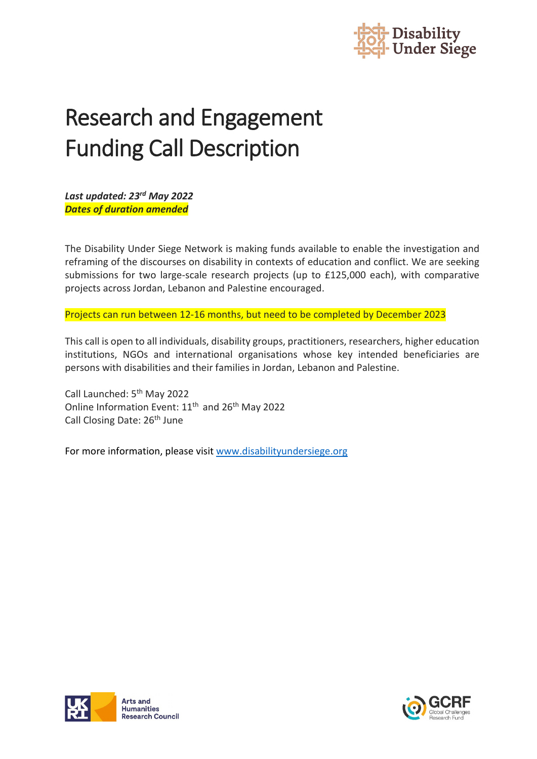

# Research and Engagement Funding Call Description

*Last updated: 23rd May 2022 Dates of duration amended*

The Disability Under Siege Network is making funds available to enable the investigation and reframing of the discourses on disability in contexts of education and conflict. We are seeking submissions for two large-scale research projects (up to £125,000 each), with comparative projects across Jordan, Lebanon and Palestine encouraged.

Projects can run between 12-16 months, but need to be completed by December 2023

This call is open to all individuals, disability groups, practitioners, researchers, higher education institutions, NGOs and international organisations whose key intended beneficiaries are persons with disabilities and their families in Jordan, Lebanon and Palestine.

Call Launched: 5th May 2022 Online Information Event: 11<sup>th</sup> and 26<sup>th</sup> May 2022 Call Closing Date: 26<sup>th</sup> June

For more information, please visi[t www.disabilityundersiege.org](http://www.disabilityundersiege.org/)



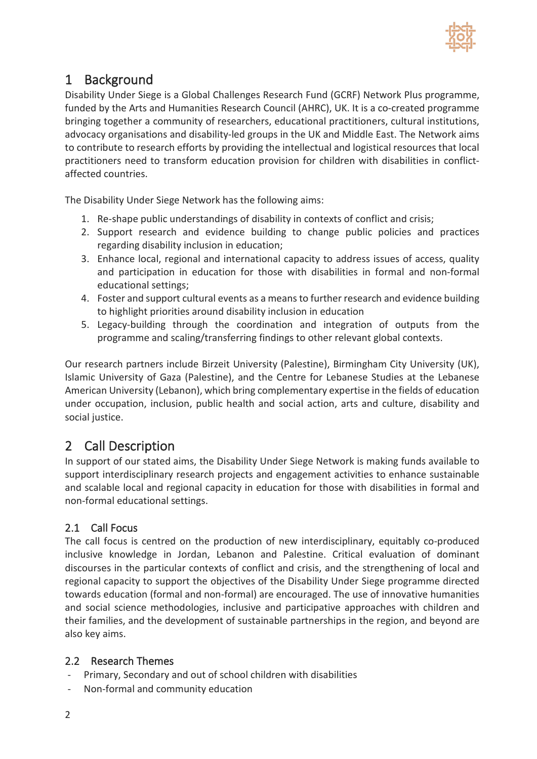

## 1 Background

Disability Under Siege is a Global Challenges Research Fund (GCRF) Network Plus programme, funded by the Arts and Humanities Research Council (AHRC), UK. It is a co-created programme bringing together a community of researchers, educational practitioners, cultural institutions, advocacy organisations and disability-led groups in the UK and Middle East. The Network aims to contribute to research efforts by providing the intellectual and logistical resources that local practitioners need to transform education provision for children with disabilities in conflictaffected countries.

The Disability Under Siege Network has the following aims:

- 1. Re-shape public understandings of disability in contexts of conflict and crisis;
- 2. Support research and evidence building to change public policies and practices regarding disability inclusion in education;
- 3. Enhance local, regional and international capacity to address issues of access, quality and participation in education for those with disabilities in formal and non-formal educational settings;
- 4. Foster and support cultural events as a means to further research and evidence building to highlight priorities around disability inclusion in education
- 5. Legacy-building through the coordination and integration of outputs from the programme and scaling/transferring findings to other relevant global contexts.

Our research partners include Birzeit University (Palestine), Birmingham City University (UK), Islamic University of Gaza (Palestine), and the Centre for Lebanese Studies at the Lebanese American University (Lebanon), which bring complementary expertise in the fields of education under occupation, inclusion, public health and social action, arts and culture, disability and social justice.

## 2 Call Description

In support of our stated aims, the Disability Under Siege Network is making funds available to support interdisciplinary research projects and engagement activities to enhance sustainable and scalable local and regional capacity in education for those with disabilities in formal and non-formal educational settings.

### 2.1 Call Focus

The call focus is centred on the production of new interdisciplinary, equitably co-produced inclusive knowledge in Jordan, Lebanon and Palestine. Critical evaluation of dominant discourses in the particular contexts of conflict and crisis, and the strengthening of local and regional capacity to support the objectives of the Disability Under Siege programme directed towards education (formal and non-formal) are encouraged. The use of innovative humanities and social science methodologies, inclusive and participative approaches with children and their families, and the development of sustainable partnerships in the region, and beyond are also key aims.

#### 2.2 Research Themes

- Primary, Secondary and out of school children with disabilities
- Non-formal and community education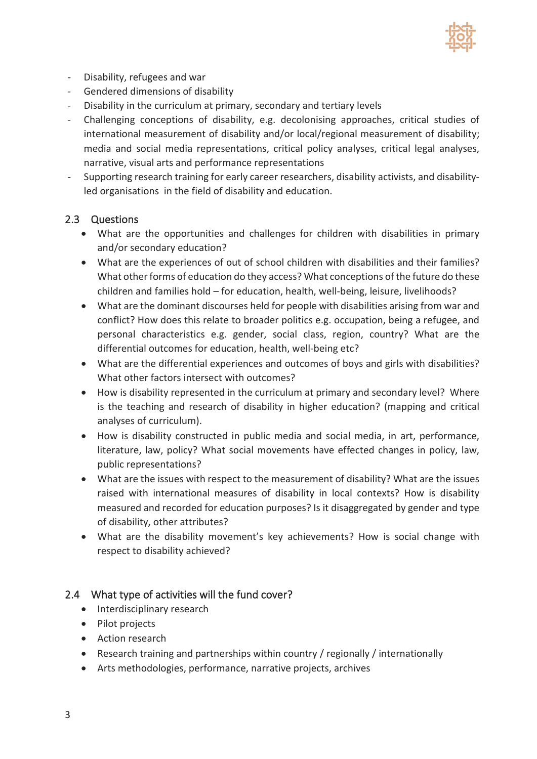

- Disability, refugees and war
- Gendered dimensions of disability
- Disability in the curriculum at primary, secondary and tertiary levels
- Challenging conceptions of disability, e.g. decolonising approaches, critical studies of international measurement of disability and/or local/regional measurement of disability; media and social media representations, critical policy analyses, critical legal analyses, narrative, visual arts and performance representations
- Supporting research training for early career researchers, disability activists, and disabilityled organisations in the field of disability and education.

#### 2.3 Questions

- What are the opportunities and challenges for children with disabilities in primary and/or secondary education?
- What are the experiences of out of school children with disabilities and their families? What other forms of education do they access? What conceptions of the future do these children and families hold – for education, health, well-being, leisure, livelihoods?
- What are the dominant discourses held for people with disabilities arising from war and conflict? How does this relate to broader politics e.g. occupation, being a refugee, and personal characteristics e.g. gender, social class, region, country? What are the differential outcomes for education, health, well-being etc?
- What are the differential experiences and outcomes of boys and girls with disabilities? What other factors intersect with outcomes?
- How is disability represented in the curriculum at primary and secondary level? Where is the teaching and research of disability in higher education? (mapping and critical analyses of curriculum).
- How is disability constructed in public media and social media, in art, performance, literature, law, policy? What social movements have effected changes in policy, law, public representations?
- What are the issues with respect to the measurement of disability? What are the issues raised with international measures of disability in local contexts? How is disability measured and recorded for education purposes? Is it disaggregated by gender and type of disability, other attributes?
- What are the disability movement's key achievements? How is social change with respect to disability achieved?

#### 2.4 What type of activities will the fund cover?

- Interdisciplinary research
- Pilot projects
- Action research
- Research training and partnerships within country / regionally / internationally
- Arts methodologies, performance, narrative projects, archives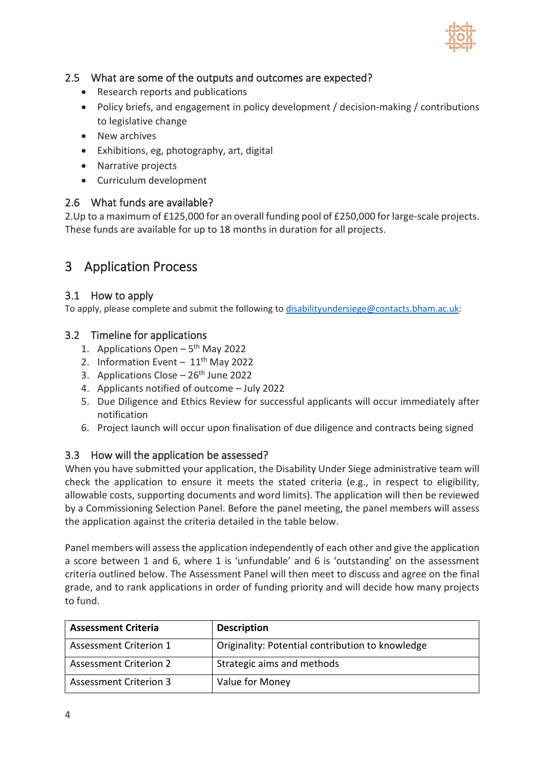

#### 2.5 What are some of the outputs and outcomes are expected?

- Research reports and publications
- Policy briefs, and engagement in policy development / decision-making / contributions to legislative change
- New archives
- Exhibitions, eg, photography, art, digital
- Narrative projects
- Curriculum development

#### 2.6 What funds are available?

2.Up to a maximum of £125,000 for an overall funding pool of £250,000 for large-scale projects. These funds are available for up to 18 months in duration for all projects.

## 3 Application Process

#### 3.1 How to apply

To apply, please complete and submit the following to [disabilityundersiege@contacts.bham.ac.uk:](mailto:disabilityundersiege@contacts.bham.ac.uk)

#### 3.2 Timeline for applications

- 1. Applications Open  $-5<sup>th</sup>$  May 2022
- 2. Information Event  $-11<sup>th</sup>$  May 2022
- 3. Applications Close  $-26$ <sup>th</sup> June 2022
- 4. Applicants notified of outcome July 2022
- 5. Due Diligence and Ethics Review for successful applicants will occur immediately after notification
- 6. Project launch will occur upon finalisation of due diligence and contracts being signed

#### 3.3 How will the application be assessed?

When you have submitted your application, the Disability Under Siege administrative team will check the application to ensure it meets the stated criteria (e.g., in respect to eligibility, allowable costs, supporting documents and word limits). The application will then be reviewed by a Commissioning Selection Panel. Before the panel meeting, the panel members will assess the application against the criteria detailed in the table below.

Panel members will assess the application independently of each other and give the application a score between 1 and 6, where 1 is 'unfundable' and 6 is 'outstanding' on the assessment criteria outlined below. The Assessment Panel will then meet to discuss and agree on the final grade, and to rank applications in order of funding priority and will decide how many projects to fund.

| <b>Assessment Criteria</b>    | <b>Description</b>                               |
|-------------------------------|--------------------------------------------------|
| Assessment Criterion 1        | Originality: Potential contribution to knowledge |
| <b>Assessment Criterion 2</b> | Strategic aims and methods                       |
| <b>Assessment Criterion 3</b> | Value for Money                                  |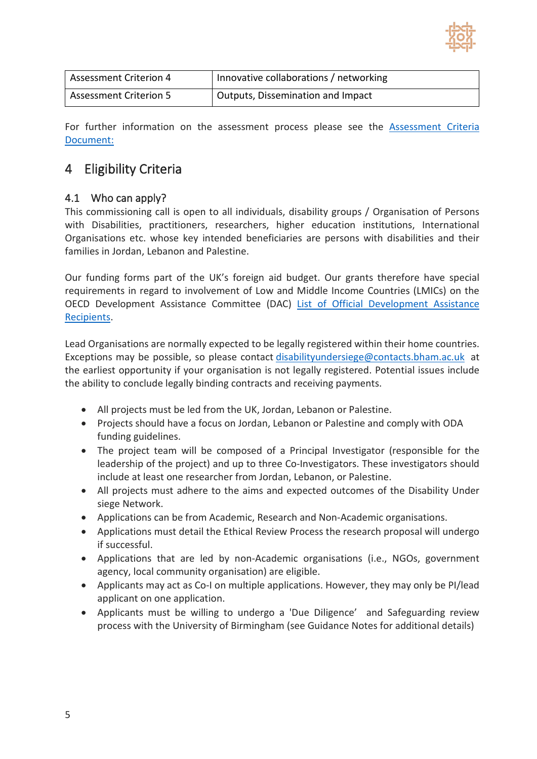

| <b>Assessment Criterion 4</b> | Innovative collaborations / networking         |
|-------------------------------|------------------------------------------------|
| <b>Assessment Criterion 5</b> | <sup>1</sup> Outputs, Dissemination and Impact |

For further information on the assessment process please see the **[Assessment Criteria](https://disabilityundersiege.org/wp-content/uploads/2022/02/Network-and-Knowledge-Exchange-Assessment-Criteria-03.02.pdf)** [Document:](https://disabilityundersiege.org/wp-content/uploads/2022/02/Network-and-Knowledge-Exchange-Assessment-Criteria-03.02.pdf)

## 4 Eligibility Criteria

#### 4.1 Who can apply?

This commissioning call is open to all individuals, disability groups / Organisation of Persons with Disabilities, practitioners, researchers, higher education institutions, International Organisations etc. whose key intended beneficiaries are persons with disabilities and their families in Jordan, Lebanon and Palestine.

Our funding forms part of the UK's foreign aid budget. Our grants therefore have special requirements in regard to involvement of Low and Middle Income Countries (LMICs) on the OECD Development Assistance Committee (DAC) [List of Official Development Assistance](https://www.oecd.org/dac/financing-sustainable-development/development-finance-standards/daclist.htm)  [Recipients.](https://www.oecd.org/dac/financing-sustainable-development/development-finance-standards/daclist.htm)

Lead Organisations are normally expected to be legally registered within their home countries. Exceptions may be possible, so please contact [disabilityundersiege@contacts.bham.ac.uk](mailto:disabilityundersiege@contacts.bham.ac.uk) at the earliest opportunity if your organisation is not legally registered. Potential issues include the ability to conclude legally binding contracts and receiving payments.

- All projects must be led from the UK, Jordan, Lebanon or Palestine.
- Projects should have a focus on Jordan, Lebanon or Palestine and comply with ODA funding guidelines.
- The project team will be composed of a Principal Investigator (responsible for the leadership of the project) and up to three Co-Investigators. These investigators should include at least one researcher from Jordan, Lebanon, or Palestine.
- All projects must adhere to the aims and expected outcomes of the Disability Under siege Network.
- Applications can be from Academic, Research and Non-Academic organisations.
- Applications must detail the Ethical Review Process the research proposal will undergo if successful.
- Applications that are led by non-Academic organisations (i.e., NGOs, government agency, local community organisation) are eligible.
- Applicants may act as Co-I on multiple applications. However, they may only be PI/lead applicant on one application.
- Applicants must be willing to undergo a 'Due Diligence' and Safeguarding review process with the University of Birmingham (see Guidance Notes for additional details)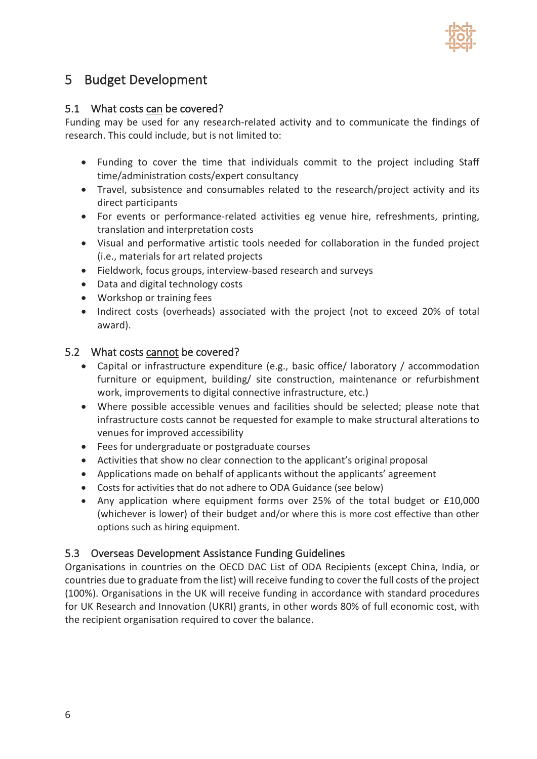

## 5 Budget Development

#### 5.1 What costs can be covered?

Funding may be used for any research-related activity and to communicate the findings of research. This could include, but is not limited to:

- Funding to cover the time that individuals commit to the project including Staff time/administration costs/expert consultancy
- Travel, subsistence and consumables related to the research/project activity and its direct participants
- For events or performance-related activities eg venue hire, refreshments, printing, translation and interpretation costs
- Visual and performative artistic tools needed for collaboration in the funded project (i.e., materials for art related projects
- Fieldwork, focus groups, interview-based research and surveys
- Data and digital technology costs
- Workshop or training fees
- Indirect costs (overheads) associated with the project (not to exceed 20% of total award).

#### 5.2 What costs cannot be covered?

- Capital or infrastructure expenditure (e.g., basic office/ laboratory / accommodation furniture or equipment, building/ site construction, maintenance or refurbishment work, improvements to digital connective infrastructure, etc.)
- Where possible accessible venues and facilities should be selected; please note that infrastructure costs cannot be requested for example to make structural alterations to venues for improved accessibility
- Fees for undergraduate or postgraduate courses
- Activities that show no clear connection to the applicant's original proposal
- Applications made on behalf of applicants without the applicants' agreement
- Costs for activities that do not adhere to ODA Guidance (see below)
- Any application where equipment forms over 25% of the total budget or £10,000 (whichever is lower) of their budget and/or where this is more cost effective than other options such as hiring equipment.

#### 5.3 Overseas Development Assistance Funding Guidelines

Organisations in countries on the OECD DAC List of ODA Recipients (except China, India, or countries due to graduate from the list) will receive funding to cover the full costs of the project (100%). Organisations in the UK will receive funding in accordance with standard procedures for UK Research and Innovation (UKRI) grants, in other words 80% of full economic cost, with the recipient organisation required to cover the balance.